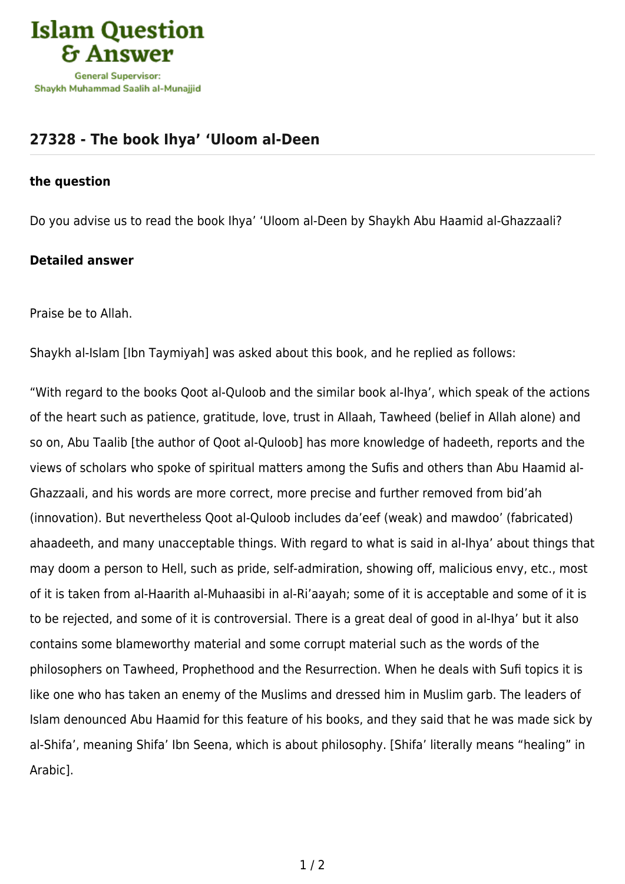

## **[27328 - The book Ihya' 'Uloom al-Deen](https://islamqa.com/en/answers/27328/the-book-ihya-uloom-al-deen)**

## **the question**

Do you advise us to read the book Ihya' 'Uloom al-Deen by Shaykh Abu Haamid al-Ghazzaali?

## **Detailed answer**

Praise be to Allah.

Shaykh al-Islam [Ibn Taymiyah] was asked about this book, and he replied as follows:

"With regard to the books Qoot al-Quloob and the similar book al-Ihya', which speak of the actions of the heart such as patience, gratitude, love, trust in Allaah, Tawheed (belief in Allah alone) and so on, Abu Taalib [the author of Qoot al-Quloob] has more knowledge of hadeeth, reports and the views of scholars who spoke of spiritual matters among the Sufis and others than Abu Haamid al-Ghazzaali, and his words are more correct, more precise and further removed from bid'ah (innovation). But nevertheless Qoot al-Quloob includes da'eef (weak) and mawdoo' (fabricated) ahaadeeth, and many unacceptable things. With regard to what is said in al-Ihya' about things that may doom a person to Hell, such as pride, self-admiration, showing off, malicious envy, etc., most of it is taken from al-Haarith al-Muhaasibi in al-Ri'aayah; some of it is acceptable and some of it is to be rejected, and some of it is controversial. There is a great deal of good in al-Ihya' but it also contains some blameworthy material and some corrupt material such as the words of the philosophers on Tawheed, Prophethood and the Resurrection. When he deals with Sufi topics it is like one who has taken an enemy of the Muslims and dressed him in Muslim garb. The leaders of Islam denounced Abu Haamid for this feature of his books, and they said that he was made sick by al-Shifa', meaning Shifa' Ibn Seena, which is about philosophy. [Shifa' literally means "healing" in Arabic].